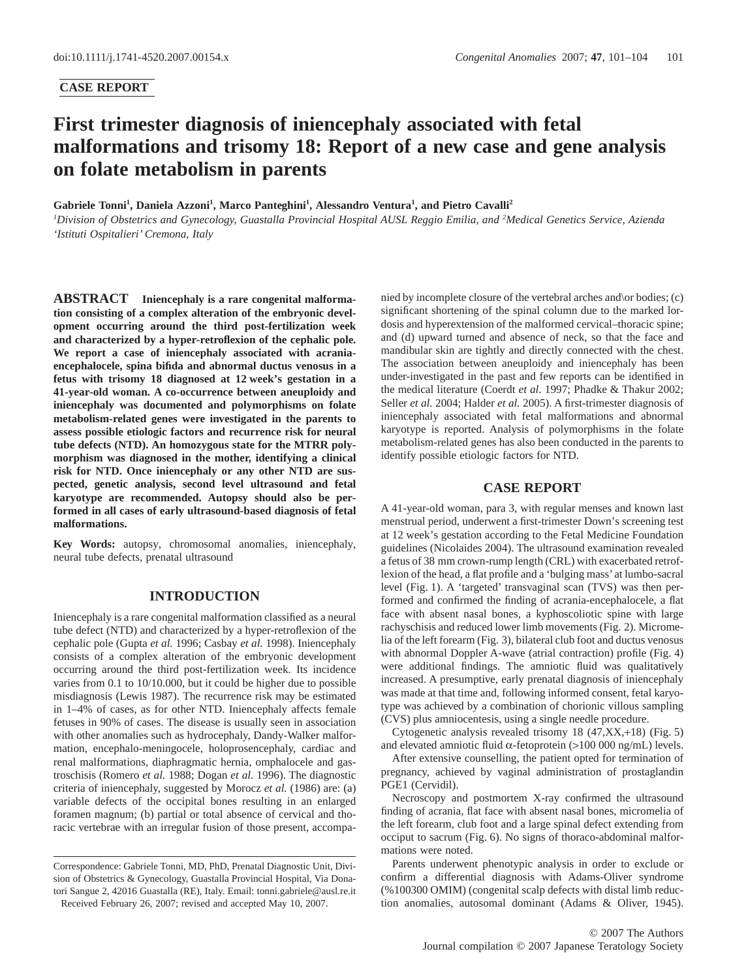## **CASE REPORT**

# **First trimester diagnosis of iniencephaly associated with fetal malformations and trisomy 18: Report of a new case and gene analysis on folate metabolism in parents**

Gabriele Tonni<sup>1</sup>, Daniela Azzoni<sup>1</sup>, Marco Panteghini<sup>1</sup>, Alessandro Ventura<sup>1</sup>, and Pietro Cavalli<sup>2</sup>

*1 Division of Obstetrics and Gynecology, Guastalla Provincial Hospital AUSL Reggio Emilia, and <sup>2</sup> Medical Genetics Service, Azienda 'Istituti Ospitalieri' Cremona, Italy*

**ABSTRACT Iniencephaly is a rare congenital malformation consisting of a complex alteration of the embryonic development occurring around the third post-fertilization week and characterized by a hyper-retroflexion of the cephalic pole. We report a case of iniencephaly associated with acraniaencephalocele, spina bifida and abnormal ductus venosus in a fetus with trisomy 18 diagnosed at 12 week's gestation in a 41-year-old woman. A co-occurrence between aneuploidy and iniencephaly was documented and polymorphisms on folate metabolism-related genes were investigated in the parents to assess possible etiologic factors and recurrence risk for neural tube defects (NTD). An homozygous state for the MTRR polymorphism was diagnosed in the mother, identifying a clinical risk for NTD. Once iniencephaly or any other NTD are suspected, genetic analysis, second level ultrasound and fetal karyotype are recommended. Autopsy should also be performed in all cases of early ultrasound-based diagnosis of fetal malformations.**

**Key Words:** autopsy, chromosomal anomalies, iniencephaly, neural tube defects, prenatal ultrasound

## **INTRODUCTION**

Iniencephaly is a rare congenital malformation classified as a neural tube defect (NTD) and characterized by a hyper-retroflexion of the cephalic pole (Gupta *et al.* 1996; Casbay *et al.* 1998). Iniencephaly consists of a complex alteration of the embryonic development occurring around the third post-fertilization week. Its incidence varies from 0.1 to 10/10.000, but it could be higher due to possible misdiagnosis (Lewis 1987). The recurrence risk may be estimated in 1–4% of cases, as for other NTD. Iniencephaly affects female fetuses in 90% of cases. The disease is usually seen in association with other anomalies such as hydrocephaly, Dandy-Walker malformation, encephalo-meningocele, holoprosencephaly, cardiac and renal malformations, diaphragmatic hernia, omphalocele and gastroschisis (Romero *et al.* 1988; Dogan *et al.* 1996). The diagnostic criteria of iniencephaly, suggested by Morocz *et al.* (1986) are: (a) variable defects of the occipital bones resulting in an enlarged foramen magnum; (b) partial or total absence of cervical and thoracic vertebrae with an irregular fusion of those present, accompa-

Correspondence: Gabriele Tonni, MD, PhD, Prenatal Diagnostic Unit, Division of Obstetrics & Gynecology, Guastalla Provincial Hospital, Via Donatori Sangue 2, 42016 Guastalla (RE), Italy. Email: tonni.[gabriele@ausl.re.it](mailto:gabriele@ausl.re.it) Received February 26, 2007; revised and accepted May 10, 2007.

nied by incomplete closure of the vertebral arches and\or bodies; (c) significant shortening of the spinal column due to the marked lordosis and hyperextension of the malformed cervical–thoracic spine; and (d) upward turned and absence of neck, so that the face and mandibular skin are tightly and directly connected with the chest. The association between aneuploidy and iniencephaly has been under-investigated in the past and few reports can be identified in the medical literature (Coerdt *et al.* 1997; Phadke & Thakur 2002; Seller *et al.* 2004; Halder *et al.* 2005). A first-trimester diagnosis of iniencephaly associated with fetal malformations and abnormal karyotype is reported. Analysis of polymorphisms in the folate metabolism-related genes has also been conducted in the parents to identify possible etiologic factors for NTD.

#### **CASE REPORT**

A 41-year-old woman, para 3, with regular menses and known last menstrual period, underwent a first-trimester Down's screening test at 12 week's gestation according to the Fetal Medicine Foundation guidelines (Nicolaides 2004). The ultrasound examination revealed a fetus of 38 mm crown-rump length (CRL) with exacerbated retroflexion of the head, a flat profile and a 'bulging mass' at lumbo-sacral level (Fig. 1). A 'targeted' transvaginal scan (TVS) was then performed and confirmed the finding of acrania-encephalocele, a flat face with absent nasal bones, a kyphoscoliotic spine with large rachyschisis and reduced lower limb movements (Fig. 2). Micromelia of the left forearm (Fig. 3), bilateral club foot and ductus venosus with abnormal Doppler A-wave (atrial contraction) profile (Fig. 4) were additional findings. The amniotic fluid was qualitatively increased. A presumptive, early prenatal diagnosis of iniencephaly was made at that time and, following informed consent, fetal karyotype was achieved by a combination of chorionic villous sampling (CVS) plus amniocentesis, using a single needle procedure.

Cytogenetic analysis revealed trisomy 18 (47,XX,+18) (Fig. 5) and elevated amniotic fluid  $\alpha$ -fetoprotein (>100 000 ng/mL) levels.

After extensive counselling, the patient opted for termination of pregnancy, achieved by vaginal administration of prostaglandin PGE1 (Cervidil).

Necroscopy and postmortem X-ray confirmed the ultrasound finding of acrania, flat face with absent nasal bones, micromelia of the left forearm, club foot and a large spinal defect extending from occiput to sacrum (Fig. 6). No signs of thoraco-abdominal malformations were noted.

Parents underwent phenotypic analysis in order to exclude or confirm a differential diagnosis with Adams-Oliver syndrome (%100300 OMIM) (congenital scalp defects with distal limb reduction anomalies, autosomal dominant (Adams & Oliver, 1945).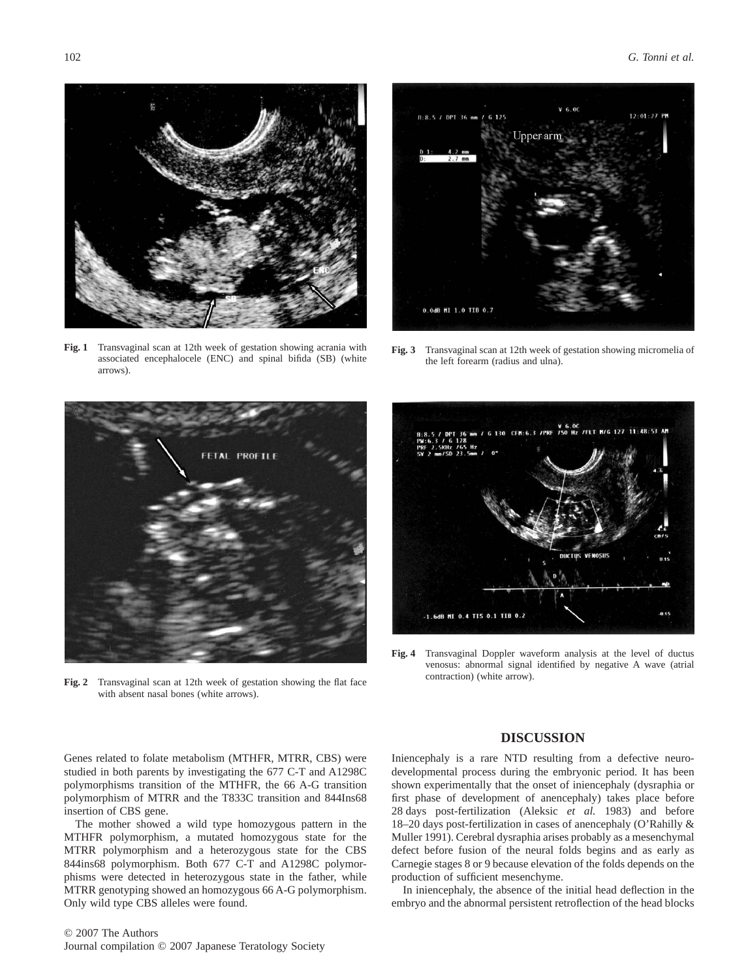

**Fig. 1** Transvaginal scan at 12th week of gestation showing acrania with associated encephalocele (ENC) and spinal bifida (SB) (white arrows).



**Fig. 3** Transvaginal scan at 12th week of gestation showing micromelia of the left forearm (radius and ulna).



**Fig. 2** Transvaginal scan at 12th week of gestation showing the flat face with absent nasal bones (white arrows).



**Fig. 4** Transvaginal Doppler waveform analysis at the level of ductus venosus: abnormal signal identified by negative A wave (atrial contraction) (white arrow).

Genes related to folate metabolism (MTHFR, MTRR, CBS) were studied in both parents by investigating the 677 C-T and A1298C polymorphisms transition of the MTHFR, the 66 A-G transition polymorphism of MTRR and the T833C transition and 844Ins68 insertion of CBS gene.

The mother showed a wild type homozygous pattern in the MTHFR polymorphism, a mutated homozygous state for the MTRR polymorphism and a heterozygous state for the CBS 844ins68 polymorphism. Both 677 C-T and A1298C polymorphisms were detected in heterozygous state in the father, while MTRR genotyping showed an homozygous 66 A-G polymorphism. Only wild type CBS alleles were found.

# **DISCUSSION**

Iniencephaly is a rare NTD resulting from a defective neurodevelopmental process during the embryonic period. It has been shown experimentally that the onset of iniencephaly (dysraphia or first phase of development of anencephaly) takes place before 28 days post-fertilization (Aleksic *et al.* 1983) and before 18–20 days post-fertilization in cases of anencephaly (O'Rahilly & Muller 1991). Cerebral dysraphia arises probably as a mesenchymal defect before fusion of the neural folds begins and as early as Carnegie stages 8 or 9 because elevation of the folds depends on the production of sufficient mesenchyme.

In iniencephaly, the absence of the initial head deflection in the embryo and the abnormal persistent retroflection of the head blocks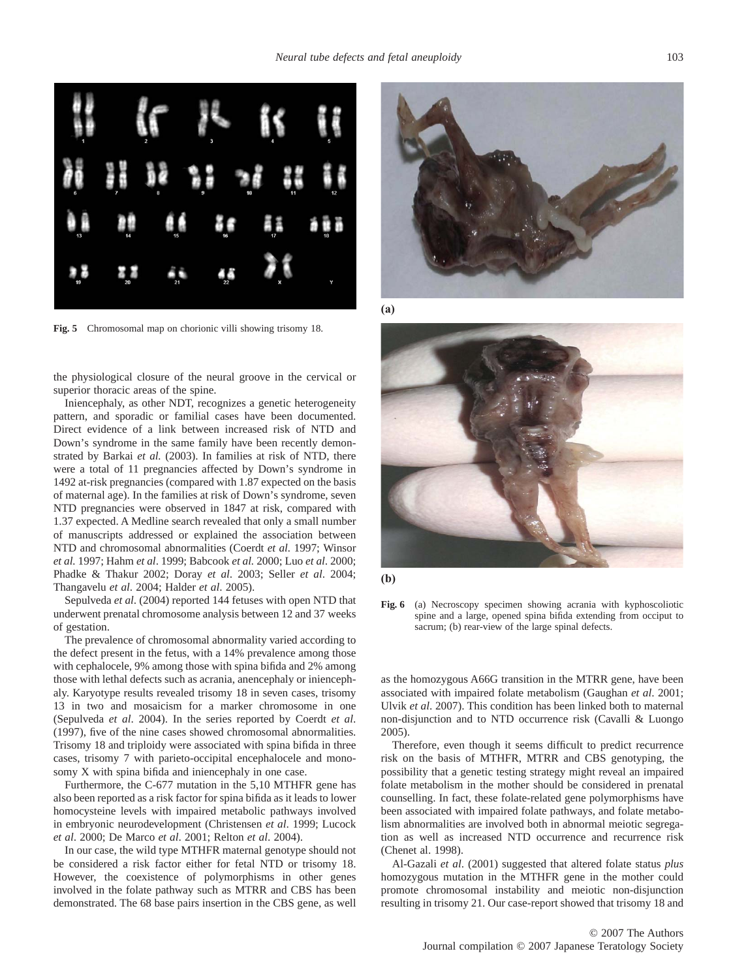

**Fig. 5** Chromosomal map on chorionic villi showing trisomy 18.

the physiological closure of the neural groove in the cervical or superior thoracic areas of the spine.

Iniencephaly, as other NDT, recognizes a genetic heterogeneity pattern, and sporadic or familial cases have been documented. Direct evidence of a link between increased risk of NTD and Down's syndrome in the same family have been recently demonstrated by Barkai *et al.* (2003). In families at risk of NTD, there were a total of 11 pregnancies affected by Down's syndrome in 1492 at-risk pregnancies (compared with 1.87 expected on the basis of maternal age). In the families at risk of Down's syndrome, seven NTD pregnancies were observed in 1847 at risk, compared with 1.37 expected. A Medline search revealed that only a small number of manuscripts addressed or explained the association between NTD and chromosomal abnormalities (Coerdt *et al.* 1997; Winsor *et al.* 1997; Hahm *et al*. 1999; Babcook *et al.* 2000; Luo *et al*. 2000; Phadke & Thakur 2002; Doray *et al*. 2003; Seller *et al*. 2004; Thangavelu *et al*. 2004; Halder *et al*. 2005).

Sepulveda *et al*. (2004) reported 144 fetuses with open NTD that underwent prenatal chromosome analysis between 12 and 37 weeks of gestation.

The prevalence of chromosomal abnormality varied according to the defect present in the fetus, with a 14% prevalence among those with cephalocele, 9% among those with spina bifida and 2% among those with lethal defects such as acrania, anencephaly or iniencephaly. Karyotype results revealed trisomy 18 in seven cases, trisomy 13 in two and mosaicism for a marker chromosome in one (Sepulveda *et al*. 2004). In the series reported by Coerdt *et al*. (1997), five of the nine cases showed chromosomal abnormalities. Trisomy 18 and triploidy were associated with spina bifida in three cases, trisomy 7 with parieto-occipital encephalocele and monosomy X with spina bifida and iniencephaly in one case.

Furthermore, the C-677 mutation in the 5,10 MTHFR gene has also been reported as a risk factor for spina bifida as it leads to lower homocysteine levels with impaired metabolic pathways involved in embryonic neurodevelopment (Christensen *et al*. 1999; Lucock *et al*. 2000; De Marco *et al*. 2001; Relton *et al*. 2004).

In our case, the wild type MTHFR maternal genotype should not be considered a risk factor either for fetal NTD or trisomy 18. However, the coexistence of polymorphisms in other genes involved in the folate pathway such as MTRR and CBS has been demonstrated. The 68 base pairs insertion in the CBS gene, as well



**(a)**



**(b)** 

**Fig. 6** (a) Necroscopy specimen showing acrania with kyphoscoliotic spine and a large, opened spina bifida extending from occiput to sacrum; (b) rear-view of the large spinal defects.

as the homozygous A66G transition in the MTRR gene, have been associated with impaired folate metabolism (Gaughan *et al*. 2001; Ulvik *et al*. 2007). This condition has been linked both to maternal non-disjunction and to NTD occurrence risk (Cavalli & Luongo 2005).

Therefore, even though it seems difficult to predict recurrence risk on the basis of MTHFR, MTRR and CBS genotyping, the possibility that a genetic testing strategy might reveal an impaired folate metabolism in the mother should be considered in prenatal counselling. In fact, these folate-related gene polymorphisms have been associated with impaired folate pathways, and folate metabolism abnormalities are involved both in abnormal meiotic segregation as well as increased NTD occurrence and recurrence risk (Chenet al. 1998).

Al-Gazali *et al*. (2001) suggested that altered folate status *plus* homozygous mutation in the MTHFR gene in the mother could promote chromosomal instability and meiotic non-disjunction resulting in trisomy 21. Our case-report showed that trisomy 18 and